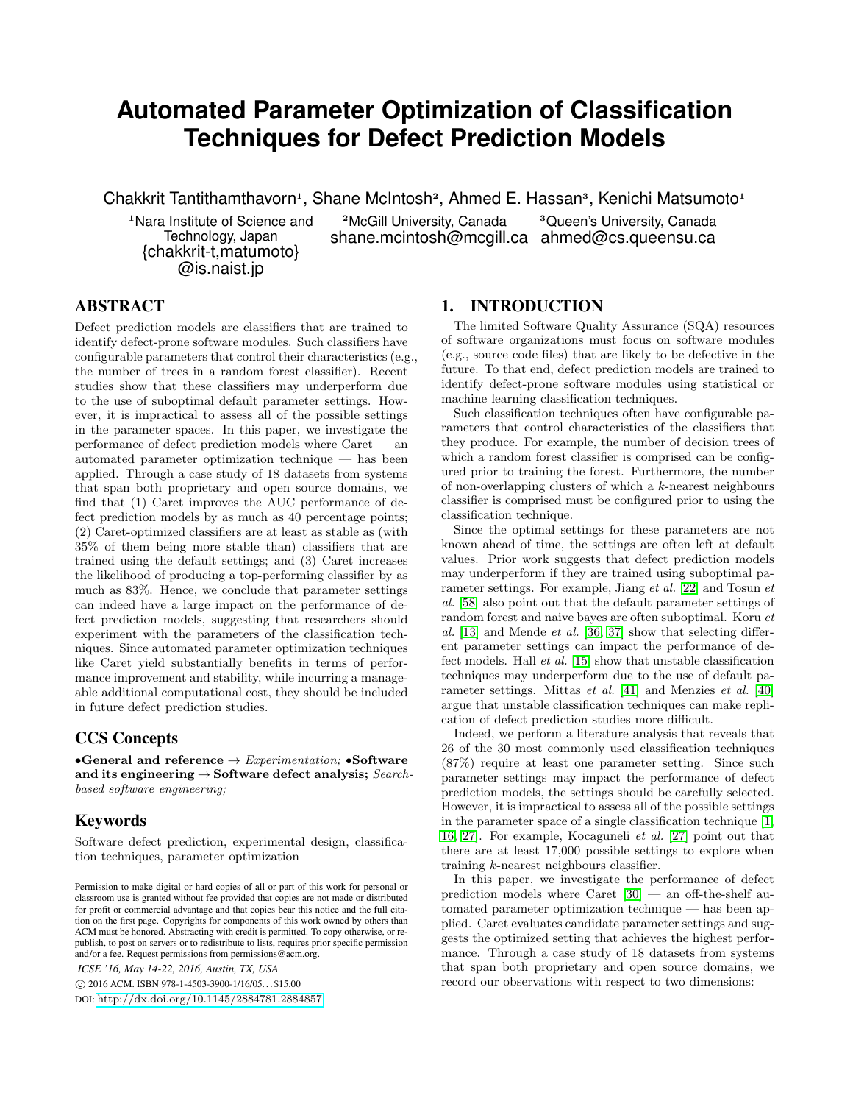# **Automated Parameter Optimization of Classification Techniques for Defect Prediction Models**

Chakkrit Tantithamthavorn<sup>1</sup>, Shane McIntosh<sup>2</sup>, Ahmed E. Hassan<sup>3</sup>, Kenichi Matsumoto<sup>1</sup>

<sup>1</sup>Nara Institute of Science and Technology, Japan {chakkrit-t,matumoto} @is.naist.jp

<sup>2</sup>McGill University, Canada shane.mcintosh@mcgill.ca ahmed@cs.queensu.ca

<sup>3</sup>Queen's University, Canada

## ABSTRACT

Defect prediction models are classifiers that are trained to identify defect-prone software modules. Such classifiers have configurable parameters that control their characteristics (e.g., the number of trees in a random forest classifier). Recent studies show that these classifiers may underperform due to the use of suboptimal default parameter settings. However, it is impractical to assess all of the possible settings in the parameter spaces. In this paper, we investigate the performance of defect prediction models where Caret — an automated parameter optimization technique — has been applied. Through a case study of 18 datasets from systems that span both proprietary and open source domains, we find that (1) Caret improves the AUC performance of defect prediction models by as much as 40 percentage points; (2) Caret-optimized classifiers are at least as stable as (with 35% of them being more stable than) classifiers that are trained using the default settings; and (3) Caret increases the likelihood of producing a top-performing classifier by as much as 83%. Hence, we conclude that parameter settings can indeed have a large impact on the performance of defect prediction models, suggesting that researchers should experiment with the parameters of the classification techniques. Since automated parameter optimization techniques like Caret yield substantially benefits in terms of performance improvement and stability, while incurring a manageable additional computational cost, they should be included in future defect prediction studies.

# CCS Concepts

•General and reference  $\rightarrow Experimentation$ ; •Software and its engineering  $\rightarrow$  Software defect analysis; Searchbased software engineering;

# Keywords

Software defect prediction, experimental design, classification techniques, parameter optimization

*ICSE '16, May 14-22, 2016, Austin, TX, USA*

c 2016 ACM. ISBN 978-1-4503-3900-1/16/05. . . \$15.00

DOI: <http://dx.doi.org/10.1145/2884781.2884857>

# 1. INTRODUCTION

The limited Software Quality Assurance (SQA) resources of software organizations must focus on software modules (e.g., source code files) that are likely to be defective in the future. To that end, defect prediction models are trained to identify defect-prone software modules using statistical or machine learning classification techniques.

Such classification techniques often have configurable parameters that control characteristics of the classifiers that they produce. For example, the number of decision trees of which a random forest classifier is comprised can be configured prior to training the forest. Furthermore, the number of non-overlapping clusters of which a k-nearest neighbours classifier is comprised must be configured prior to using the classification technique.

Since the optimal settings for these parameters are not known ahead of time, the settings are often left at default values. Prior work suggests that defect prediction models may underperform if they are trained using suboptimal parameter settings. For example, Jiang et al. [\[22\]](#page-10-0) and Tosun et al. [\[58\]](#page-11-0) also point out that the default parameter settings of random forest and naive bayes are often suboptimal. Koru et al. [\[13\]](#page-10-1) and Mende *et al.* [\[36,](#page-11-1) [37\]](#page-11-2) show that selecting different parameter settings can impact the performance of defect models. Hall et al. [\[15\]](#page-10-2) show that unstable classification techniques may underperform due to the use of default parameter settings. Mittas *et al.* [\[41\]](#page-11-3) and Menzies *et al.* [\[40\]](#page-11-4) argue that unstable classification techniques can make replication of defect prediction studies more difficult.

Indeed, we perform a literature analysis that reveals that 26 of the 30 most commonly used classification techniques (87%) require at least one parameter setting. Since such parameter settings may impact the performance of defect prediction models, the settings should be carefully selected. However, it is impractical to assess all of the possible settings in the parameter space of a single classification technique [\[1,](#page-10-3) [16,](#page-10-4) [27\]](#page-10-5). For example, Kocaguneli et al. [\[27\]](#page-10-5) point out that there are at least 17,000 possible settings to explore when training k-nearest neighbours classifier.

In this paper, we investigate the performance of defect prediction models where Caret [\[30\]](#page-10-6) — an off-the-shelf automated parameter optimization technique — has been applied. Caret evaluates candidate parameter settings and suggests the optimized setting that achieves the highest performance. Through a case study of 18 datasets from systems that span both proprietary and open source domains, we record our observations with respect to two dimensions:

Permission to make digital or hard copies of all or part of this work for personal or classroom use is granted without fee provided that copies are not made or distributed for profit or commercial advantage and that copies bear this notice and the full citation on the first page. Copyrights for components of this work owned by others than ACM must be honored. Abstracting with credit is permitted. To copy otherwise, or republish, to post on servers or to redistribute to lists, requires prior specific permission and/or a fee. Request permissions from permissions@acm.org.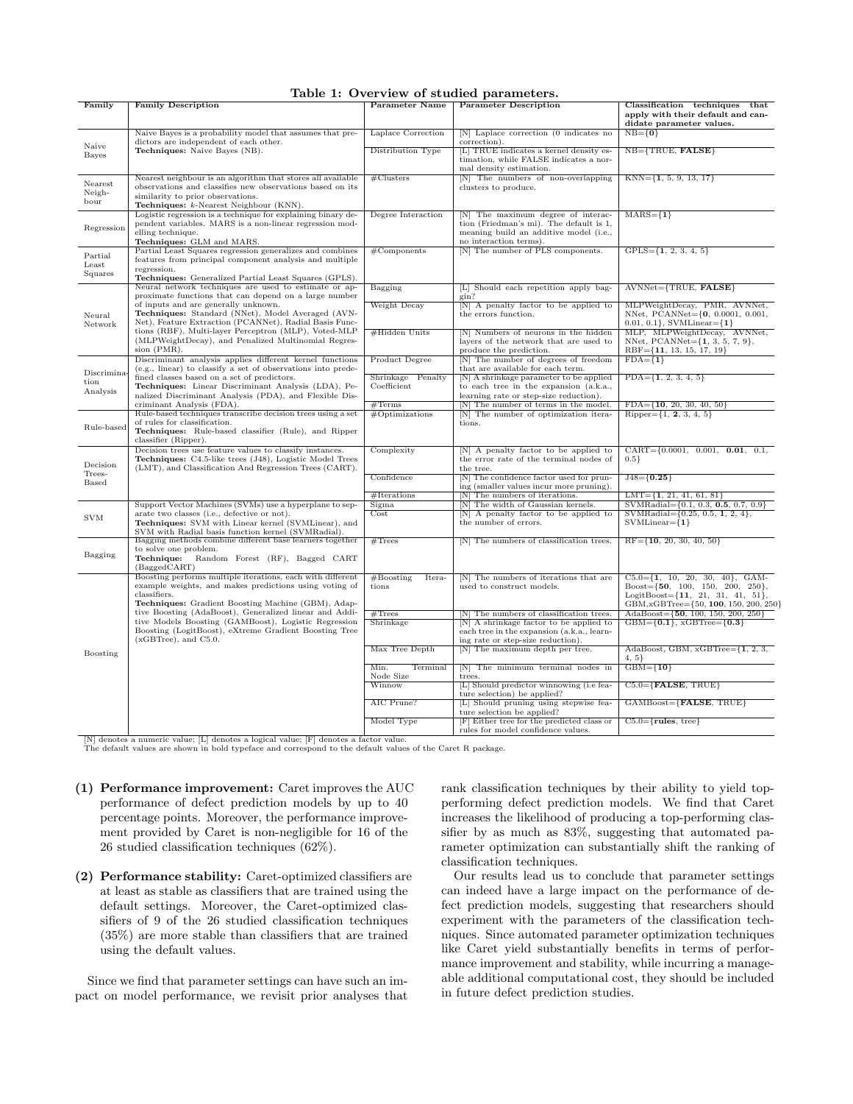### <span id="page-1-0"></span>Table 1: Overview of studied parameters.

| Family                      | <b>Family Description</b>                                                                                                                                                                                                                                                                                                                                                                           | Parameter Name                   | <b>Parameter Description</b>                                                                                                                      | Classification techniques that                                                                                                                                            |
|-----------------------------|-----------------------------------------------------------------------------------------------------------------------------------------------------------------------------------------------------------------------------------------------------------------------------------------------------------------------------------------------------------------------------------------------------|----------------------------------|---------------------------------------------------------------------------------------------------------------------------------------------------|---------------------------------------------------------------------------------------------------------------------------------------------------------------------------|
|                             |                                                                                                                                                                                                                                                                                                                                                                                                     |                                  |                                                                                                                                                   | apply with their default and can-<br>didate parameter values.                                                                                                             |
| Naive                       | Naive Bayes is a probability model that assumes that pre-<br>dictors are independent of each other.                                                                                                                                                                                                                                                                                                 | Laplace Correction               | [N] Laplace correction (0 indicates no<br>correction).                                                                                            | $NB=\{0\}$                                                                                                                                                                |
| <b>Bayes</b>                | Techniques: Naive Bayes (NB).                                                                                                                                                                                                                                                                                                                                                                       | Distribution Type                | [L] TRUE indicates a kernel density es-<br>timation, while FALSE indicates a nor-<br>mal density estimation.                                      | $NB = {TRUE, FALSE}$                                                                                                                                                      |
| Nearest<br>Neigh-<br>bour   | Nearest neighbour is an algorithm that stores all available<br>observations and classifies new observations based on its<br>similarity to prior observations.                                                                                                                                                                                                                                       | # <sub>Clusters</sub>            | [N] The numbers of non-overlapping<br>clusters to produce.                                                                                        | $KNN = \{1, 5, 9, 13, 17\}$                                                                                                                                               |
|                             | Techniques: k-Nearest Neighbour (KNN).                                                                                                                                                                                                                                                                                                                                                              |                                  |                                                                                                                                                   |                                                                                                                                                                           |
| Regression                  | Logistic regression is a technique for explaining binary de-<br>pendent variables. MARS is a non-linear regression mod-<br>elling technique.                                                                                                                                                                                                                                                        | Degree Interaction               | [N] The maximum degree of interac-<br>tion (Friedman's mi). The default is 1,<br>meaning build an additive model (i.e.,<br>no interaction terms). | $MARS = \{1\}$                                                                                                                                                            |
|                             | Techniques: GLM and MARS.<br>Partial Least Squares regression generalizes and combines                                                                                                                                                                                                                                                                                                              | #Components                      | [N] The number of PLS components.                                                                                                                 | $GPLS = \{1, 2, 3, 4, 5\}$                                                                                                                                                |
| Partial<br>Least<br>Squares | features from principal component analysis and multiple<br>regression.                                                                                                                                                                                                                                                                                                                              |                                  |                                                                                                                                                   |                                                                                                                                                                           |
|                             | Techniques: Generalized Partial Least Squares (GPLS).<br>Neural network techniques are used to estimate or ap-                                                                                                                                                                                                                                                                                      |                                  |                                                                                                                                                   |                                                                                                                                                                           |
| Neural<br>Network           | proximate functions that can depend on a large number                                                                                                                                                                                                                                                                                                                                               | Bagging                          | [L] Should each repetition apply bag-<br>gin?                                                                                                     | AVNNet={TRUE, FALSE}                                                                                                                                                      |
|                             | of inputs and are generally unknown.<br>Techniques: Standard (NNet), Model Averaged (AVN-<br>Net), Feature Extraction (PCANNet), Radial Basis Func-                                                                                                                                                                                                                                                 | Weight Decay                     | [N] A penalty factor to be applied to<br>the errors function.                                                                                     | MLPWeightDecay, PMR, AVNNet,<br>NNet, PCANNet={0, 0.0001, 0.001,<br>$0.01, 0.1$ , SVMLinear= $\{1\}$                                                                      |
|                             | tions (RBF), Multi-layer Perceptron (MLP), Voted-MLP<br>(MLPWeightDecay), and Penalized Multinomial Regres-<br>sion (PMR).                                                                                                                                                                                                                                                                          | #Hidden Units                    | [N] Numbers of neurons in the hidden<br>layers of the network that are used to<br>produce the prediction.                                         | MLP, MLPWeightDecay, AVNNet,<br>NNet, $PCANNet = \{1, 3, 5, 7, 9\},\$<br>$RBF = \{11, 13, 15, 17, 19\}$                                                                   |
|                             | Discriminant analysis applies different kernel functions                                                                                                                                                                                                                                                                                                                                            | Product Degree                   | [N] The number of degrees of freedom                                                                                                              | $FDA = \{1\}$                                                                                                                                                             |
| Discrimina                  | (e.g., linear) to classify a set of observations into prede-<br>fined classes based on a set of predictors.                                                                                                                                                                                                                                                                                         |                                  | that are available for each term.                                                                                                                 |                                                                                                                                                                           |
| tion<br>Analysis            | Techniques: Linear Discriminant Analysis (LDA), Pe-<br>nalized Discriminant Analysis (PDA), and Flexible Dis-                                                                                                                                                                                                                                                                                       | Shrinkage Penalty<br>Coefficient | [N] A shrinkage parameter to be applied<br>to each tree in the expansion (a.k.a.,<br>learning rate or step-size reduction).                       | $PDA = \{1, 2, 3, 4, 5\}$                                                                                                                                                 |
|                             | criminant Analysis (FDA).                                                                                                                                                                                                                                                                                                                                                                           | #Terms                           | [N] The number of terms in the model.                                                                                                             | $FDA = \{10, 20, 30, 40, 50\}$                                                                                                                                            |
| Rule-based                  | Rule-based techniques transcribe decision trees using a set<br>of rules for classification.<br>Techniques: Rule-based classifier (Rule), and Ripper<br>classifier (Ripper).                                                                                                                                                                                                                         | #Optimization                    | [N] The number of optimization itera-<br>tions.                                                                                                   | Ripper= $\{1, 2, 3, 4, 5\}$                                                                                                                                               |
|                             | Decision trees use feature values to classify instances.                                                                                                                                                                                                                                                                                                                                            | Complexity                       | [N] A penalty factor to be applied to                                                                                                             | $CART = \{0.0001, 0.001, 0.01, 0.1, \}$                                                                                                                                   |
| Decision                    | Techniques: C4.5-like trees (J48), Logistic Model Trees<br>(LMT), and Classification And Regression Trees (CART).                                                                                                                                                                                                                                                                                   |                                  | the error rate of the terminal nodes of<br>the tree.                                                                                              | $0.5\}$                                                                                                                                                                   |
| Trees-<br>Based             |                                                                                                                                                                                                                                                                                                                                                                                                     | Confidence                       | [N] The confidence factor used for prun-<br>ing (smaller values incur more pruning).                                                              | $J48 = \{0.25\}$                                                                                                                                                          |
|                             |                                                                                                                                                                                                                                                                                                                                                                                                     | #Iterations                      | [N] The numbers of iterations.                                                                                                                    | $LMT = \{1, 21, 41, 61, 81\}$                                                                                                                                             |
|                             | Support Vector Machines (SVMs) use a hyperplane to sep-                                                                                                                                                                                                                                                                                                                                             | Sigma                            | [N] The width of Gaussian kernels.                                                                                                                | $SWMRadial = \{0.1, 0.3, 0.5, 0.7, 0.9\}$                                                                                                                                 |
| <b>SVM</b>                  | arate two classes (i.e., defective or not).<br>Techniques: SVM with Linear kernel (SVMLinear), and<br>SVM with Radial basis function kernel (SVMRadial).                                                                                                                                                                                                                                            | Cost                             | [N] A penalty factor to be applied to<br>the number of errors.                                                                                    | SVMRadial= $\{0.25, 0.5, 1, 2, 4\}$ ,<br>$SVMLinear={1}$                                                                                                                  |
|                             | Bagging methods combine different base learners together<br>to solve one problem.                                                                                                                                                                                                                                                                                                                   | #Trees                           | [N] The numbers of classification trees.                                                                                                          | $RF=\{10, 20, 30, 40, 50\}$                                                                                                                                               |
| Bagging                     | Technique:<br>Random Forest (RF), Bagged CART<br>(BagedCART)                                                                                                                                                                                                                                                                                                                                        |                                  |                                                                                                                                                   |                                                                                                                                                                           |
|                             | Boosting performs multiple iterations, each with different<br>example weights, and makes predictions using voting of<br>classifiers.<br>Techniques: Gradient Boosting Machine (GBM), Adap-<br>tive Boosting (AdaBoost), Generalized linear and Addi-<br>tive Models Boosting (GAMBoost), Logistic Regression<br>Boosting (LogitBoost), eXtreme Gradient Boosting Tree<br>$(xGBTree)$ , and $C5.0$ . | #Boosting<br>Itera-<br>tions     | [N] The numbers of iterations that are<br>used to construct models.                                                                               | $C5.0 = \{1, 10, 20, 30, 40\}, \text{ GAM-}$<br>$Boost = \{50, 100, 150, 200, 250\}.$<br>$LogitBoost = \{11, 21, 31, 41, 51\},\$<br>GBM, xGBTree={50, 100, 150, 200, 250} |
|                             |                                                                                                                                                                                                                                                                                                                                                                                                     | #Trees<br>Shrinkage              | [N] The numbers of classification trees.<br>N A shrinkage factor to be applied to<br>each tree in the expansion (a.k.a., learn-                   | AdaBoost= $\{50, 100, 150, 200, 250\}$<br>$GBM = \{0.1\}, xGBTree = \{0.3\}$                                                                                              |
|                             |                                                                                                                                                                                                                                                                                                                                                                                                     | Max Tree Depth                   | ing rate or step-size reduction).<br>[N] The maximum depth per tree.                                                                              | $AdaBoost, GBM, xGBTree = \{1, 2, 3, \ldots\}$                                                                                                                            |
| Boosting                    |                                                                                                                                                                                                                                                                                                                                                                                                     | Min.<br>Terminal                 | [N] The minimum terminal nodes in                                                                                                                 | 4, 5<br>$GBM = {10}$                                                                                                                                                      |
|                             |                                                                                                                                                                                                                                                                                                                                                                                                     | Node Size<br>Winnow              | trees.<br>[L] Should predictor winnowing (i.e fea-<br>ture selection) be applied?                                                                 | $C5.0 = {FALSE, TRUE}$                                                                                                                                                    |
|                             |                                                                                                                                                                                                                                                                                                                                                                                                     | AIC Prune?                       | [L] Should pruning using stepwise fea-                                                                                                            | $GAMBoost = {FALSE, TRUE}$                                                                                                                                                |
|                             |                                                                                                                                                                                                                                                                                                                                                                                                     | Model Type                       | ture selection be applied?<br>[F] Either tree for the predicted class or<br>rules for model confidence values.                                    | $C5.0 = {rules, tree}$                                                                                                                                                    |
|                             |                                                                                                                                                                                                                                                                                                                                                                                                     |                                  |                                                                                                                                                   |                                                                                                                                                                           |

[N] denotes a numeric value; [L] denotes a logical value; [F] denotes a factor value. The default values are shown in bold typeface and correspond to the default values of the Caret R package.

- (1) Performance improvement: Caret improves the AUC performance of defect prediction models by up to 40 percentage points. Moreover, the performance improvement provided by Caret is non-negligible for 16 of the 26 studied classification techniques (62%).
- (2) Performance stability: Caret-optimized classifiers are at least as stable as classifiers that are trained using the default settings. Moreover, the Caret-optimized classifiers of 9 of the 26 studied classification techniques (35%) are more stable than classifiers that are trained using the default values.

Since we find that parameter settings can have such an impact on model performance, we revisit prior analyses that rank classification techniques by their ability to yield topperforming defect prediction models. We find that Caret increases the likelihood of producing a top-performing classifier by as much as 83%, suggesting that automated parameter optimization can substantially shift the ranking of classification techniques.

Our results lead us to conclude that parameter settings can indeed have a large impact on the performance of defect prediction models, suggesting that researchers should experiment with the parameters of the classification techniques. Since automated parameter optimization techniques like Caret yield substantially benefits in terms of performance improvement and stability, while incurring a manageable additional computational cost, they should be included in future defect prediction studies.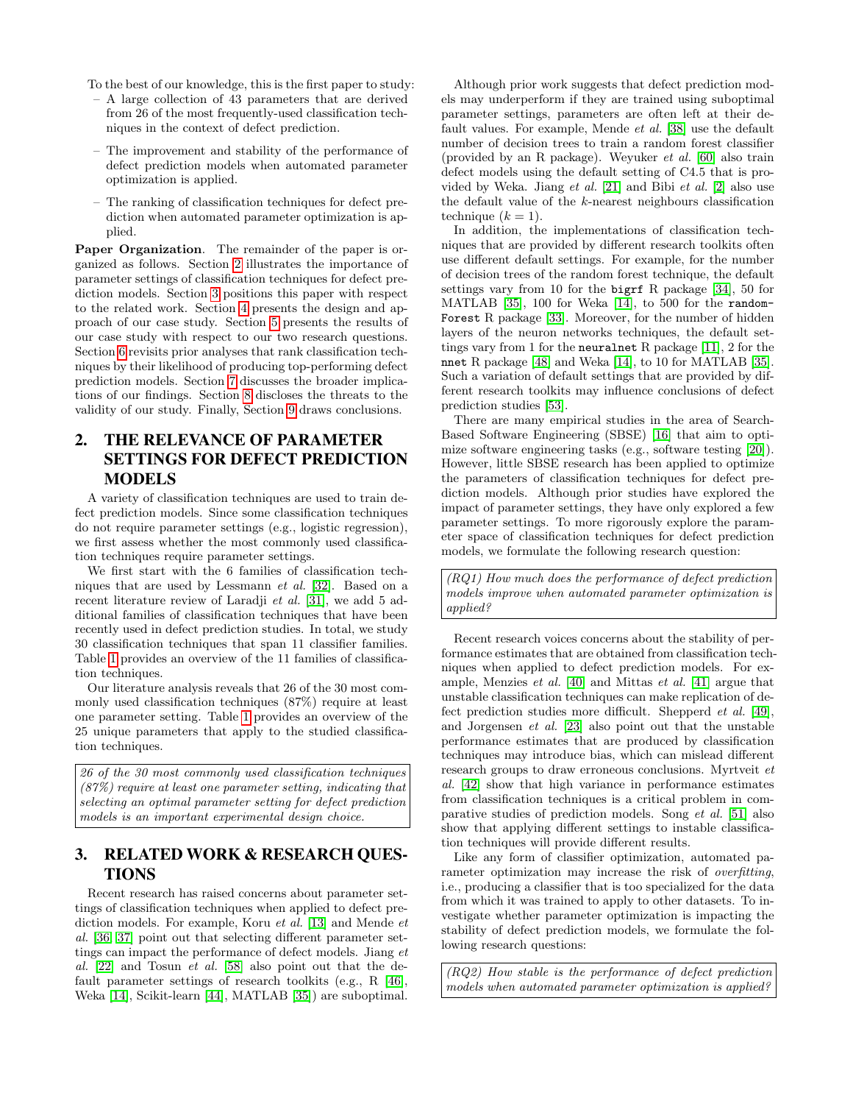To the best of our knowledge, this is the first paper to study:

- A large collection of 43 parameters that are derived from 26 of the most frequently-used classification techniques in the context of defect prediction.
- The improvement and stability of the performance of defect prediction models when automated parameter optimization is applied.
- The ranking of classification techniques for defect prediction when automated parameter optimization is applied.

Paper Organization. The remainder of the paper is organized as follows. Section [2](#page-2-0) illustrates the importance of parameter settings of classification techniques for defect prediction models. Section [3](#page-2-1) positions this paper with respect to the related work. Section [4](#page-3-0) presents the design and approach of our case study. Section [5](#page-4-0) presents the results of our case study with respect to our two research questions. Section [6](#page-6-0) revisits prior analyses that rank classification techniques by their likelihood of producing top-performing defect prediction models. Section [7](#page-8-0) discusses the broader implications of our findings. Section [8](#page-9-0) discloses the threats to the validity of our study. Finally, Section [9](#page-9-1) draws conclusions.

# <span id="page-2-0"></span>2. THE RELEVANCE OF PARAMETER SETTINGS FOR DEFECT PREDICTION MODELS

A variety of classification techniques are used to train defect prediction models. Since some classification techniques do not require parameter settings (e.g., logistic regression), we first assess whether the most commonly used classification techniques require parameter settings.

We first start with the 6 families of classification techniques that are used by Lessmann et al. [\[32\]](#page-10-7). Based on a recent literature review of Laradji *et al.* [\[31\]](#page-10-8), we add 5 additional families of classification techniques that have been recently used in defect prediction studies. In total, we study 30 classification techniques that span 11 classifier families. Table [1](#page-1-0) provides an overview of the 11 families of classification techniques.

Our literature analysis reveals that 26 of the 30 most commonly used classification techniques (87%) require at least one parameter setting. Table [1](#page-1-0) provides an overview of the 25 unique parameters that apply to the studied classification techniques.

26 of the 30 most commonly used classification techniques (87%) require at least one parameter setting, indicating that selecting an optimal parameter setting for defect prediction models is an important experimental design choice.

## <span id="page-2-1"></span>3. RELATED WORK & RESEARCH QUES-TIONS

Recent research has raised concerns about parameter settings of classification techniques when applied to defect prediction models. For example, Koru et al. [\[13\]](#page-10-1) and Mende et al. [\[36,](#page-11-1) [37\]](#page-11-2) point out that selecting different parameter settings can impact the performance of defect models. Jiang et al. [\[22\]](#page-10-0) and Tosun et al. [\[58\]](#page-11-0) also point out that the default parameter settings of research toolkits (e.g., R [\[46\]](#page-11-5), Weka [\[14\]](#page-10-9), Scikit-learn [\[44\]](#page-11-6), MATLAB [\[35\]](#page-11-7)) are suboptimal.

Although prior work suggests that defect prediction models may underperform if they are trained using suboptimal parameter settings, parameters are often left at their default values. For example, Mende et al. [\[38\]](#page-11-8) use the default number of decision trees to train a random forest classifier (provided by an R package). Weyuker et al. [\[60\]](#page-11-9) also train defect models using the default setting of C4.5 that is provided by Weka. Jiang et al. [\[21\]](#page-10-10) and Bibi et al. [\[2\]](#page-10-11) also use the default value of the k-nearest neighbours classification technique  $(k = 1)$ .

In addition, the implementations of classification techniques that are provided by different research toolkits often use different default settings. For example, for the number of decision trees of the random forest technique, the default settings vary from 10 for the bigrf R package [\[34\]](#page-10-12), 50 for MATLAB [\[35\]](#page-11-7), 100 for Weka [\[14\]](#page-10-9), to 500 for the random-Forest R package [\[33\]](#page-10-13). Moreover, for the number of hidden layers of the neuron networks techniques, the default settings vary from 1 for the neuralnet R package [\[11\]](#page-10-14), 2 for the nnet R package [\[48\]](#page-11-10) and Weka [\[14\]](#page-10-9), to 10 for MATLAB [\[35\]](#page-11-7). Such a variation of default settings that are provided by different research toolkits may influence conclusions of defect prediction studies [\[53\]](#page-11-11).

There are many empirical studies in the area of Search-Based Software Engineering (SBSE) [\[16\]](#page-10-4) that aim to optimize software engineering tasks (e.g., software testing [\[20\]](#page-10-15)). However, little SBSE research has been applied to optimize the parameters of classification techniques for defect prediction models. Although prior studies have explored the impact of parameter settings, they have only explored a few parameter settings. To more rigorously explore the parameter space of classification techniques for defect prediction models, we formulate the following research question:

(RQ1) How much does the performance of defect prediction models improve when automated parameter optimization is applied?

Recent research voices concerns about the stability of performance estimates that are obtained from classification techniques when applied to defect prediction models. For example, Menzies et al. [\[40\]](#page-11-4) and Mittas et al. [\[41\]](#page-11-3) argue that unstable classification techniques can make replication of defect prediction studies more difficult. Shepperd et al. [\[49\]](#page-11-12), and Jorgensen et al. [\[23\]](#page-10-16) also point out that the unstable performance estimates that are produced by classification techniques may introduce bias, which can mislead different research groups to draw erroneous conclusions. Myrtveit et al. [\[42\]](#page-11-13) show that high variance in performance estimates from classification techniques is a critical problem in comparative studies of prediction models. Song et al. [\[51\]](#page-11-14) also show that applying different settings to instable classification techniques will provide different results.

Like any form of classifier optimization, automated parameter optimization may increase the risk of *overfitting*, i.e., producing a classifier that is too specialized for the data from which it was trained to apply to other datasets. To investigate whether parameter optimization is impacting the stability of defect prediction models, we formulate the following research questions:

(RQ2) How stable is the performance of defect prediction models when automated parameter optimization is applied?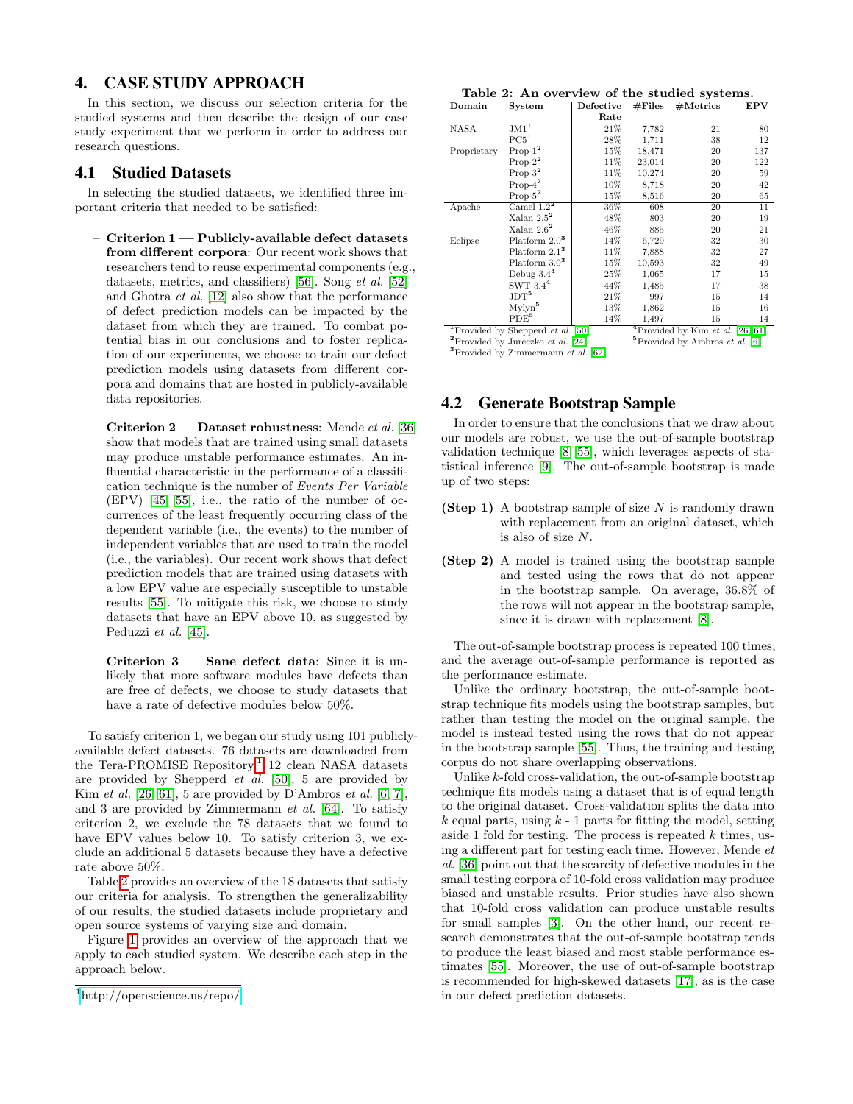## <span id="page-3-0"></span>4. CASE STUDY APPROACH

In this section, we discuss our selection criteria for the studied systems and then describe the design of our case study experiment that we perform in order to address our research questions.

### 4.1 Studied Datasets

In selecting the studied datasets, we identified three important criteria that needed to be satisfied:

- Criterion 1 Publicly-available defect datasets from different corpora: Our recent work shows that researchers tend to reuse experimental components (e.g., datasets, metrics, and classifiers) [\[56\]](#page-11-15). Song et al. [\[52\]](#page-11-16) and Ghotra et al. [\[12\]](#page-10-17) also show that the performance of defect prediction models can be impacted by the dataset from which they are trained. To combat potential bias in our conclusions and to foster replication of our experiments, we choose to train our defect prediction models using datasets from different corpora and domains that are hosted in publicly-available data repositories.
- Criterion  $2$  Dataset robustness: Mende et al. [\[36\]](#page-11-1) show that models that are trained using small datasets may produce unstable performance estimates. An influential characteristic in the performance of a classification technique is the number of Events Per Variable (EPV) [\[45,](#page-11-17) [55\]](#page-11-18), i.e., the ratio of the number of occurrences of the least frequently occurring class of the dependent variable (i.e., the events) to the number of independent variables that are used to train the model (i.e., the variables). Our recent work shows that defect prediction models that are trained using datasets with a low EPV value are especially susceptible to unstable results [\[55\]](#page-11-18). To mitigate this risk, we choose to study datasets that have an EPV above 10, as suggested by Peduzzi et al. [\[45\]](#page-11-17).
- Criterion 3 Sane defect data: Since it is unlikely that more software modules have defects than are free of defects, we choose to study datasets that have a rate of defective modules below 50%.

To satisfy criterion 1, we began our study using 101 publiclyavailable defect datasets. 76 datasets are downloaded from the Tera-PROMISE Repository,<sup>[1](#page-3-1)</sup> 12 clean NASA datasets are provided by Shepperd et al. [\[50\]](#page-11-19), 5 are provided by Kim *et al.* [\[26,](#page-10-18) [61\]](#page-11-20), 5 are provided by D'Ambros *et al.* [\[6,](#page-10-19) [7\]](#page-10-20), and 3 are provided by Zimmermann et al. [\[64\]](#page-11-21). To satisfy criterion 2, we exclude the 78 datasets that we found to have EPV values below 10. To satisfy criterion 3, we exclude an additional 5 datasets because they have a defective rate above 50%.

Table [2](#page-3-2) provides an overview of the 18 datasets that satisfy our criteria for analysis. To strengthen the generalizability of our results, the studied datasets include proprietary and open source systems of varying size and domain.

Figure [1](#page-4-1) provides an overview of the approach that we apply to each studied system. We describe each step in the approach below.

<span id="page-3-2"></span>

|  |  | Table 2: An overview of the studied systems. |  |
|--|--|----------------------------------------------|--|
|--|--|----------------------------------------------|--|

| Domain                                                | System             | $\rm Defective$ | #Files                                               | #Mertrics | EPV |
|-------------------------------------------------------|--------------------|-----------------|------------------------------------------------------|-----------|-----|
|                                                       |                    | Rate            |                                                      |           |     |
| NASA                                                  | $JM1$ <sup>1</sup> | 21\%            | 7,782                                                | 21        | 80  |
|                                                       | PC5 <sup>1</sup>   | 28%             | 1,711                                                | 38        | 12  |
| Proprietary                                           | $Prop-12$          | 15%             | 18,471                                               | 20        | 137 |
|                                                       | $Prop-2^2$         | 11%             | 23,014                                               | 20        | 122 |
|                                                       | $Prop-3^2$         | 11%             | 10,274                                               | 20        | 59  |
|                                                       | $Prop-42$          | $10\%$          | 8,718                                                | 20        | 42  |
|                                                       | $Prop-52$          | 15%             | 8,516                                                | 20        | 65  |
| Apache                                                | Camel $1.22$       | 36%             | 608                                                  | 20        | 11  |
|                                                       | Xalan $2.5^2$      | 48%             | 803                                                  | 20        | 19  |
|                                                       | Xalan $2.6^2$      | 46%             | 885                                                  | 20        | 21  |
| Eclipse                                               | Platform $2.03$    | 14%             | 6,729                                                | 32        | 30  |
|                                                       | Platform $2.13$    | 11%             | 7,888                                                | 32        | 27  |
|                                                       | Platform $3.0^3$   | 15%             | 10,593                                               | 32        | 49  |
|                                                       | Debug $3.44$       | 25%             | 1,065                                                | 17        | 15  |
|                                                       | SWT $3.4^4$        | 44%             | 1,485                                                | 17        | 38  |
|                                                       | JDT <sup>5</sup>   | 21\%            | 997                                                  | 15        | 14  |
|                                                       | Mylyn <sup>5</sup> | 13%             | 1,862                                                | 15        | 16  |
|                                                       | PDE <sup>5</sup>   | 14%             | 1,497                                                | 15        | 14  |
| <sup>1</sup> Provided by Shepperd <i>et al.</i> [50]. |                    |                 | <sup>4</sup> Provided by Kim <i>et al.</i> [26, 61]. |           |     |

<sup>2</sup>Provided by Jureczko et al.  $\left[24\right]$ . <sup>5</sup>Provided by Ambros et al. [\[6\].](#page-10-19) <sup>3</sup>Provided by Zimmermann  $et$   $al.$  [\[62\].](#page-11-22)

# 4.2 Generate Bootstrap Sample

In order to ensure that the conclusions that we draw about our models are robust, we use the out-of-sample bootstrap validation technique [\[8,](#page-10-22) [55\]](#page-11-18), which leverages aspects of statistical inference [\[9\]](#page-10-23). The out-of-sample bootstrap is made up of two steps:

- (Step 1) A bootstrap sample of size  $N$  is randomly drawn with replacement from an original dataset, which is also of size N.
- (Step 2) A model is trained using the bootstrap sample and tested using the rows that do not appear in the bootstrap sample. On average, 36.8% of the rows will not appear in the bootstrap sample, since it is drawn with replacement [\[8\]](#page-10-22).

The out-of-sample bootstrap process is repeated 100 times, and the average out-of-sample performance is reported as the performance estimate.

Unlike the ordinary bootstrap, the out-of-sample bootstrap technique fits models using the bootstrap samples, but rather than testing the model on the original sample, the model is instead tested using the rows that do not appear in the bootstrap sample [\[55\]](#page-11-18). Thus, the training and testing corpus do not share overlapping observations.

Unlike k-fold cross-validation, the out-of-sample bootstrap technique fits models using a dataset that is of equal length to the original dataset. Cross-validation splits the data into  $k$  equal parts, using  $k - 1$  parts for fitting the model, setting aside 1 fold for testing. The process is repeated  $k$  times, using a different part for testing each time. However, Mende et al. [\[36\]](#page-11-1) point out that the scarcity of defective modules in the small testing corpora of 10-fold cross validation may produce biased and unstable results. Prior studies have also shown that 10-fold cross validation can produce unstable results for small samples [\[3\]](#page-10-24). On the other hand, our recent research demonstrates that the out-of-sample bootstrap tends to produce the least biased and most stable performance estimates [\[55\]](#page-11-18). Moreover, the use of out-of-sample bootstrap is recommended for high-skewed datasets [\[17\]](#page-10-25), as is the case in our defect prediction datasets.

<span id="page-3-1"></span><sup>1</sup><http://openscience.us/repo/>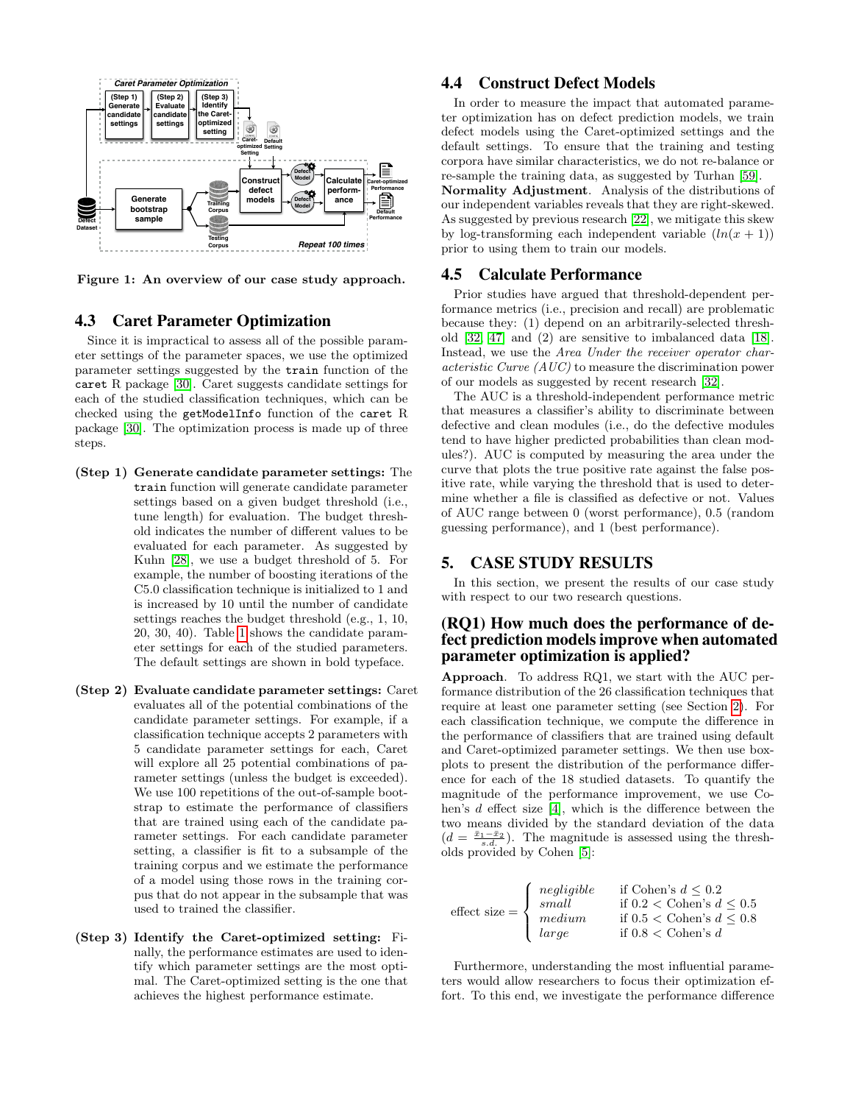

<span id="page-4-1"></span>Figure 1: An overview of our case study approach.

## 4.3 Caret Parameter Optimization

Since it is impractical to assess all of the possible parameter settings of the parameter spaces, we use the optimized parameter settings suggested by the train function of the caret R package [\[30\]](#page-10-6). Caret suggests candidate settings for each of the studied classification techniques, which can be checked using the getModelInfo function of the caret R package [\[30\]](#page-10-6). The optimization process is made up of three steps.

- (Step 1) Generate candidate parameter settings: The train function will generate candidate parameter settings based on a given budget threshold (i.e., tune length) for evaluation. The budget threshold indicates the number of different values to be evaluated for each parameter. As suggested by Kuhn [\[28\]](#page-10-26), we use a budget threshold of 5. For example, the number of boosting iterations of the C5.0 classification technique is initialized to 1 and is increased by 10 until the number of candidate settings reaches the budget threshold (e.g., 1, 10, 20, 30, 40). Table [1](#page-1-0) shows the candidate parameter settings for each of the studied parameters. The default settings are shown in bold typeface.
- (Step 2) Evaluate candidate parameter settings: Caret evaluates all of the potential combinations of the candidate parameter settings. For example, if a classification technique accepts 2 parameters with 5 candidate parameter settings for each, Caret will explore all 25 potential combinations of parameter settings (unless the budget is exceeded). We use 100 repetitions of the out-of-sample bootstrap to estimate the performance of classifiers that are trained using each of the candidate parameter settings. For each candidate parameter setting, a classifier is fit to a subsample of the training corpus and we estimate the performance of a model using those rows in the training corpus that do not appear in the subsample that was used to trained the classifier.
- (Step 3) Identify the Caret-optimized setting: Finally, the performance estimates are used to identify which parameter settings are the most optimal. The Caret-optimized setting is the one that achieves the highest performance estimate.

## 4.4 Construct Defect Models

In order to measure the impact that automated parameter optimization has on defect prediction models, we train defect models using the Caret-optimized settings and the default settings. To ensure that the training and testing corpora have similar characteristics, we do not re-balance or re-sample the training data, as suggested by Turhan [\[59\]](#page-11-23).

Normality Adjustment. Analysis of the distributions of our independent variables reveals that they are right-skewed. As suggested by previous research [\[22\]](#page-10-0), we mitigate this skew by log-transforming each independent variable  $(ln(x + 1))$ prior to using them to train our models.

## 4.5 Calculate Performance

Prior studies have argued that threshold-dependent performance metrics (i.e., precision and recall) are problematic because they: (1) depend on an arbitrarily-selected threshold [\[32,](#page-10-7) [47\]](#page-11-24) and (2) are sensitive to imbalanced data [\[18\]](#page-10-27). Instead, we use the Area Under the receiver operator characteristic Curve (AUC) to measure the discrimination power of our models as suggested by recent research [\[32\]](#page-10-7).

The AUC is a threshold-independent performance metric that measures a classifier's ability to discriminate between defective and clean modules (i.e., do the defective modules tend to have higher predicted probabilities than clean modules?). AUC is computed by measuring the area under the curve that plots the true positive rate against the false positive rate, while varying the threshold that is used to determine whether a file is classified as defective or not. Values of AUC range between 0 (worst performance), 0.5 (random guessing performance), and 1 (best performance).

## <span id="page-4-0"></span>5. CASE STUDY RESULTS

In this section, we present the results of our case study with respect to our two research questions.

## (RQ1) How much does the performance of defect prediction models improve when automated parameter optimization is applied?

Approach. To address RQ1, we start with the AUC performance distribution of the 26 classification techniques that require at least one parameter setting (see Section [2\)](#page-2-0). For each classification technique, we compute the difference in the performance of classifiers that are trained using default and Caret-optimized parameter settings. We then use boxplots to present the distribution of the performance difference for each of the 18 studied datasets. To quantify the magnitude of the performance improvement, we use Cohen's d effect size [\[4\]](#page-10-28), which is the difference between the two means divided by the standard deviation of the data  $(d = \frac{\bar{x}_1 - \bar{x}_2}{s \cdot d})$ . The magnitude is assessed using the thresholds provided by Cohen [\[5\]](#page-10-29):

| effect size = $\begin{cases} \frac{1}{2} \\ median \end{cases}$ | $\int$ negligible<br>small<br>$\int   large$ | if Cohen's $d \leq 0.2$<br>if $0.2 <$ Cohen's $d \leq 0.5$<br>if $0.5 <$ Cohen's $d \leq 0.8$<br>if $0.8 <$ Cohen's d |
|-----------------------------------------------------------------|----------------------------------------------|-----------------------------------------------------------------------------------------------------------------------|
|-----------------------------------------------------------------|----------------------------------------------|-----------------------------------------------------------------------------------------------------------------------|

Furthermore, understanding the most influential parameters would allow researchers to focus their optimization effort. To this end, we investigate the performance difference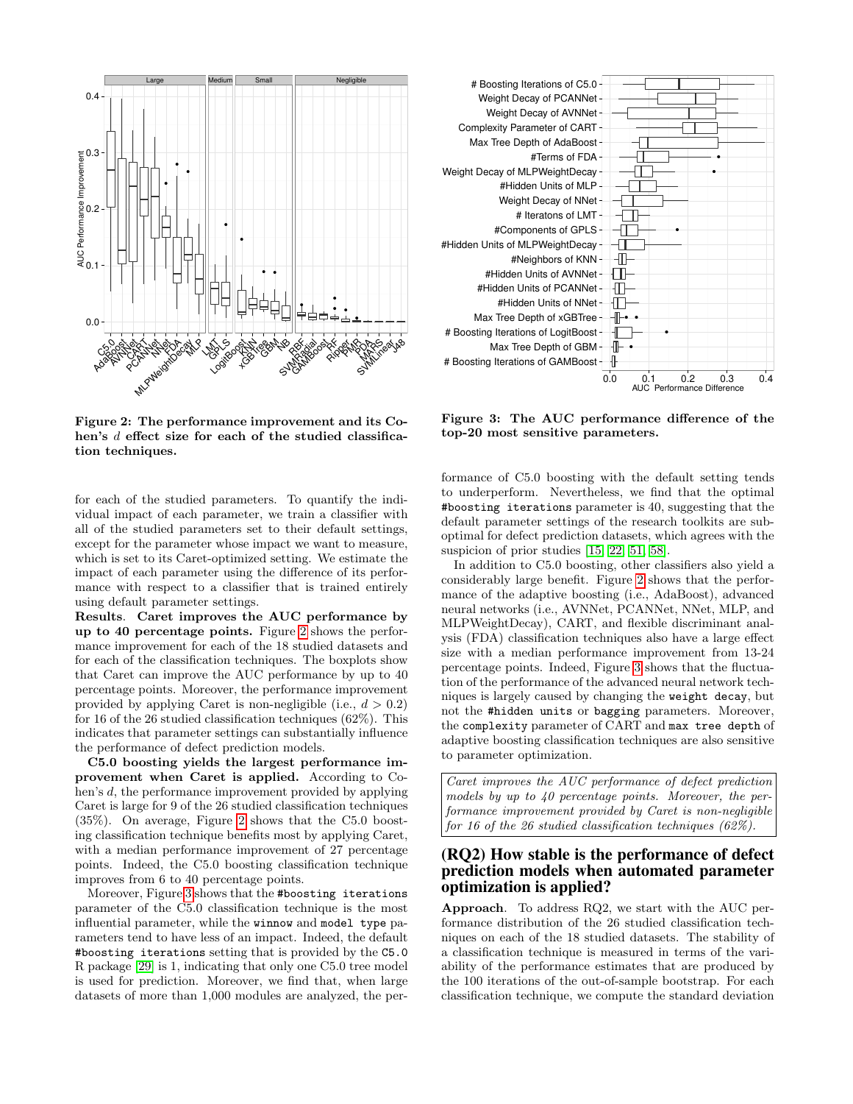

<span id="page-5-0"></span>Figure 2: The performance improvement and its Cohen's d effect size for each of the studied classification techniques.

for each of the studied parameters. To quantify the individual impact of each parameter, we train a classifier with all of the studied parameters set to their default settings, except for the parameter whose impact we want to measure, which is set to its Caret-optimized setting. We estimate the impact of each parameter using the difference of its performance with respect to a classifier that is trained entirely using default parameter settings.

Results. Caret improves the AUC performance by up to 40 percentage points. Figure [2](#page-5-0) shows the performance improvement for each of the 18 studied datasets and for each of the classification techniques. The boxplots show that Caret can improve the AUC performance by up to 40 percentage points. Moreover, the performance improvement provided by applying Caret is non-negligible (i.e.,  $d > 0.2$ ) for 16 of the 26 studied classification techniques (62%). This indicates that parameter settings can substantially influence the performance of defect prediction models.

C5.0 boosting yields the largest performance improvement when Caret is applied. According to Cohen's d, the performance improvement provided by applying Caret is large for 9 of the 26 studied classification techniques (35%). On average, Figure [2](#page-5-0) shows that the C5.0 boosting classification technique benefits most by applying Caret, with a median performance improvement of 27 percentage points. Indeed, the C5.0 boosting classification technique improves from 6 to 40 percentage points.

Moreover, Figure [3](#page-5-1) shows that the #boosting iterations parameter of the C5.0 classification technique is the most influential parameter, while the winnow and model type parameters tend to have less of an impact. Indeed, the default #boosting iterations setting that is provided by the C5.0 R package [\[29\]](#page-10-30) is 1, indicating that only one C5.0 tree model is used for prediction. Moreover, we find that, when large datasets of more than 1,000 modules are analyzed, the per-



<span id="page-5-1"></span>Figure 3: The AUC performance difference of the top-20 most sensitive parameters.

formance of C5.0 boosting with the default setting tends to underperform. Nevertheless, we find that the optimal #boosting iterations parameter is 40, suggesting that the default parameter settings of the research toolkits are suboptimal for defect prediction datasets, which agrees with the suspicion of prior studies [\[15,](#page-10-2) [22,](#page-10-0) [51,](#page-11-14) [58\]](#page-11-0).

In addition to C5.0 boosting, other classifiers also yield a considerably large benefit. Figure [2](#page-5-0) shows that the performance of the adaptive boosting (i.e., AdaBoost), advanced neural networks (i.e., AVNNet, PCANNet, NNet, MLP, and MLPWeightDecay), CART, and flexible discriminant analysis (FDA) classification techniques also have a large effect size with a median performance improvement from 13-24 percentage points. Indeed, Figure [3](#page-5-1) shows that the fluctuation of the performance of the advanced neural network techniques is largely caused by changing the weight decay, but not the #hidden units or bagging parameters. Moreover, the complexity parameter of CART and max tree depth of adaptive boosting classification techniques are also sensitive to parameter optimization.

Caret improves the AUC performance of defect prediction models by up to 40 percentage points. Moreover, the performance improvement provided by Caret is non-negligible for 16 of the 26 studied classification techniques (62%).

## (RQ2) How stable is the performance of defect prediction models when automated parameter optimization is applied?

Approach. To address RQ2, we start with the AUC performance distribution of the 26 studied classification techniques on each of the 18 studied datasets. The stability of a classification technique is measured in terms of the variability of the performance estimates that are produced by the 100 iterations of the out-of-sample bootstrap. For each classification technique, we compute the standard deviation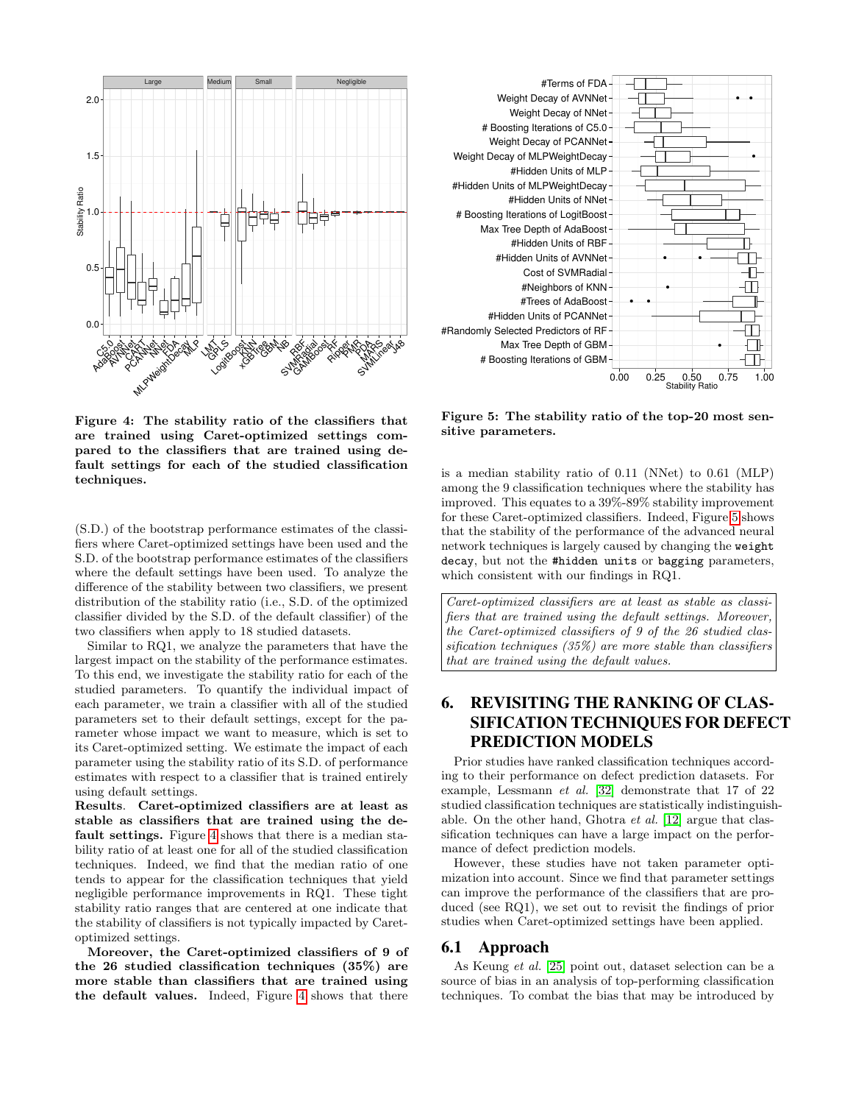



<span id="page-6-1"></span>Figure 4: The stability ratio of the classifiers that are trained using Caret-optimized settings compared to the classifiers that are trained using default settings for each of the studied classification techniques.

(S.D.) of the bootstrap performance estimates of the classifiers where Caret-optimized settings have been used and the S.D. of the bootstrap performance estimates of the classifiers where the default settings have been used. To analyze the difference of the stability between two classifiers, we present distribution of the stability ratio (i.e., S.D. of the optimized classifier divided by the S.D. of the default classifier) of the two classifiers when apply to 18 studied datasets.

Similar to RQ1, we analyze the parameters that have the largest impact on the stability of the performance estimates. To this end, we investigate the stability ratio for each of the studied parameters. To quantify the individual impact of each parameter, we train a classifier with all of the studied parameters set to their default settings, except for the parameter whose impact we want to measure, which is set to its Caret-optimized setting. We estimate the impact of each parameter using the stability ratio of its S.D. of performance estimates with respect to a classifier that is trained entirely using default settings.

Results. Caret-optimized classifiers are at least as stable as classifiers that are trained using the default settings. Figure [4](#page-6-1) shows that there is a median stability ratio of at least one for all of the studied classification techniques. Indeed, we find that the median ratio of one tends to appear for the classification techniques that yield negligible performance improvements in RQ1. These tight stability ratio ranges that are centered at one indicate that the stability of classifiers is not typically impacted by Caretoptimized settings.

Moreover, the Caret-optimized classifiers of 9 of the 26 studied classification techniques (35%) are more stable than classifiers that are trained using the default values. Indeed, Figure [4](#page-6-1) shows that there

<span id="page-6-2"></span>Figure 5: The stability ratio of the top-20 most sensitive parameters.

is a median stability ratio of 0.11 (NNet) to 0.61 (MLP) among the 9 classification techniques where the stability has improved. This equates to a 39%-89% stability improvement for these Caret-optimized classifiers. Indeed, Figure [5](#page-6-2) shows that the stability of the performance of the advanced neural network techniques is largely caused by changing the weight decay, but not the #hidden units or bagging parameters, which consistent with our findings in RQ1.

Caret-optimized classifiers are at least as stable as classifiers that are trained using the default settings. Moreover, the Caret-optimized classifiers of 9 of the 26 studied classification techniques (35%) are more stable than classifiers that are trained using the default values.

# <span id="page-6-0"></span>6. REVISITING THE RANKING OF CLAS-SIFICATION TECHNIQUES FOR DEFECT PREDICTION MODELS

Prior studies have ranked classification techniques according to their performance on defect prediction datasets. For example, Lessmann et al. [\[32\]](#page-10-7) demonstrate that 17 of 22 studied classification techniques are statistically indistinguishable. On the other hand, Ghotra et al. [\[12\]](#page-10-17) argue that classification techniques can have a large impact on the performance of defect prediction models.

However, these studies have not taken parameter optimization into account. Since we find that parameter settings can improve the performance of the classifiers that are produced (see RQ1), we set out to revisit the findings of prior studies when Caret-optimized settings have been applied.

### 6.1 Approach

As Keung et al. [\[25\]](#page-10-31) point out, dataset selection can be a source of bias in an analysis of top-performing classification techniques. To combat the bias that may be introduced by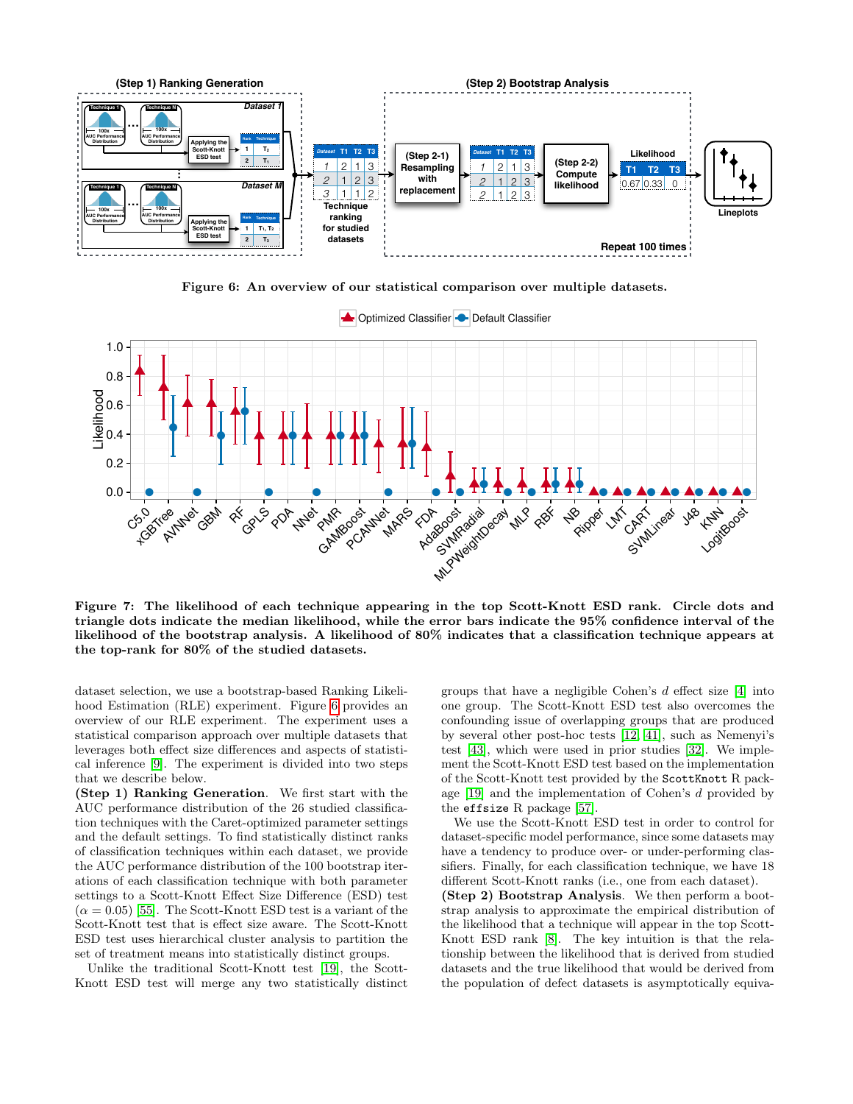

<span id="page-7-0"></span>Figure 6: An overview of our statistical comparison over multiple datasets.



<span id="page-7-1"></span>Figure 7: The likelihood of each technique appearing in the top Scott-Knott ESD rank. Circle dots and triangle dots indicate the median likelihood, while the error bars indicate the 95% confidence interval of the likelihood of the bootstrap analysis. A likelihood of 80% indicates that a classification technique appears at the top-rank for 80% of the studied datasets.

dataset selection, we use a bootstrap-based Ranking Likelihood Estimation (RLE) experiment. Figure [6](#page-7-0) provides an overview of our RLE experiment. The experiment uses a statistical comparison approach over multiple datasets that leverages both effect size differences and aspects of statistical inference [\[9\]](#page-10-23). The experiment is divided into two steps that we describe below.

(Step 1) Ranking Generation. We first start with the AUC performance distribution of the 26 studied classification techniques with the Caret-optimized parameter settings and the default settings. To find statistically distinct ranks of classification techniques within each dataset, we provide the AUC performance distribution of the 100 bootstrap iterations of each classification technique with both parameter settings to a Scott-Knott Effect Size Difference (ESD) test  $(\alpha = 0.05)$  [\[55\]](#page-11-18). The Scott-Knott ESD test is a variant of the Scott-Knott test that is effect size aware. The Scott-Knott ESD test uses hierarchical cluster analysis to partition the set of treatment means into statistically distinct groups.

Unlike the traditional Scott-Knott test [\[19\]](#page-10-32), the Scott-Knott ESD test will merge any two statistically distinct groups that have a negligible Cohen's d effect size [\[4\]](#page-10-28) into one group. The Scott-Knott ESD test also overcomes the confounding issue of overlapping groups that are produced by several other post-hoc tests [\[12,](#page-10-17) [41\]](#page-11-3), such as Nemenyi's test [\[43\]](#page-11-25), which were used in prior studies [\[32\]](#page-10-7). We implement the Scott-Knott ESD test based on the implementation of the Scott-Knott test provided by the ScottKnott R package [\[19\]](#page-10-32) and the implementation of Cohen's d provided by the effsize R package [\[57\]](#page-11-26).

We use the Scott-Knott ESD test in order to control for dataset-specific model performance, since some datasets may have a tendency to produce over- or under-performing classifiers. Finally, for each classification technique, we have 18 different Scott-Knott ranks (i.e., one from each dataset).

(Step 2) Bootstrap Analysis. We then perform a bootstrap analysis to approximate the empirical distribution of the likelihood that a technique will appear in the top Scott-Knott ESD rank [\[8\]](#page-10-22). The key intuition is that the relationship between the likelihood that is derived from studied datasets and the true likelihood that would be derived from the population of defect datasets is asymptotically equiva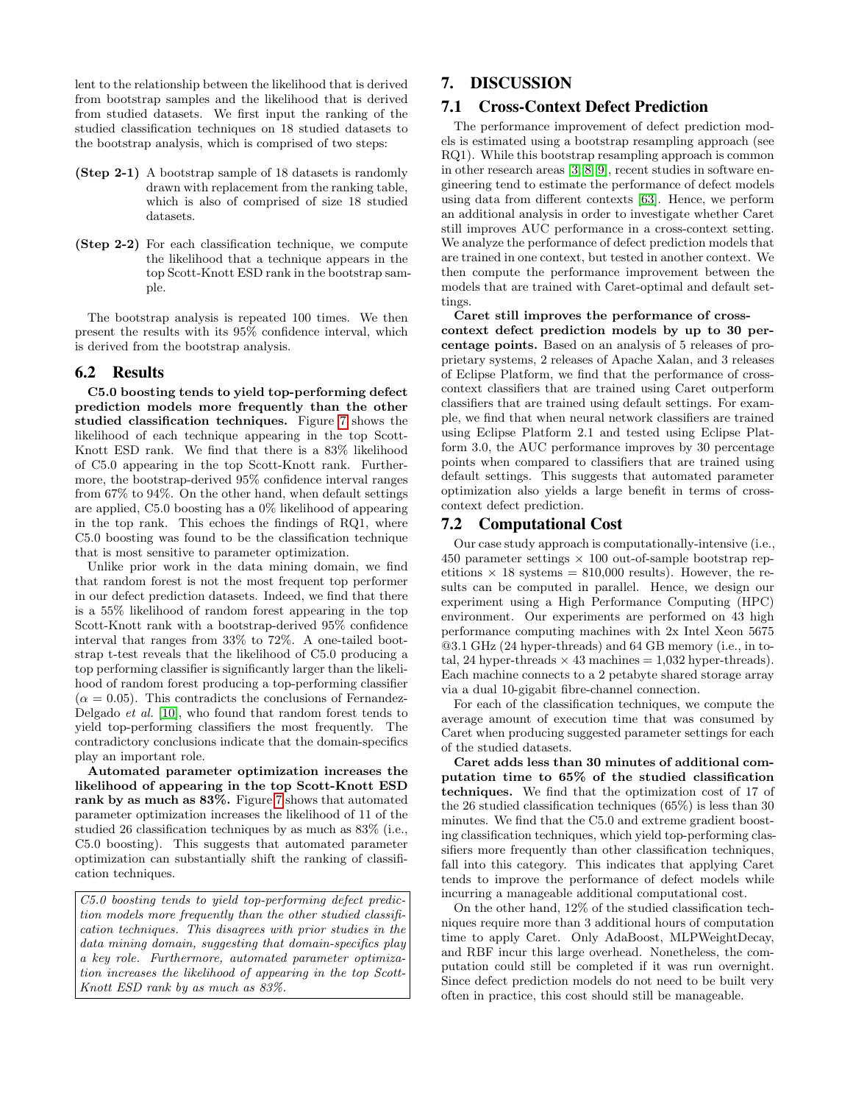lent to the relationship between the likelihood that is derived from bootstrap samples and the likelihood that is derived from studied datasets. We first input the ranking of the studied classification techniques on 18 studied datasets to the bootstrap analysis, which is comprised of two steps:

- (Step 2-1) A bootstrap sample of 18 datasets is randomly drawn with replacement from the ranking table, which is also of comprised of size 18 studied datasets.
- (Step 2-2) For each classification technique, we compute the likelihood that a technique appears in the top Scott-Knott ESD rank in the bootstrap sample.

The bootstrap analysis is repeated 100 times. We then present the results with its 95% confidence interval, which is derived from the bootstrap analysis.

## 6.2 Results

C5.0 boosting tends to yield top-performing defect prediction models more frequently than the other studied classification techniques. Figure [7](#page-7-1) shows the likelihood of each technique appearing in the top Scott-Knott ESD rank. We find that there is a 83% likelihood of C5.0 appearing in the top Scott-Knott rank. Furthermore, the bootstrap-derived 95% confidence interval ranges from 67% to 94%. On the other hand, when default settings are applied, C5.0 boosting has a 0% likelihood of appearing in the top rank. This echoes the findings of RQ1, where C5.0 boosting was found to be the classification technique that is most sensitive to parameter optimization.

Unlike prior work in the data mining domain, we find that random forest is not the most frequent top performer in our defect prediction datasets. Indeed, we find that there is a 55% likelihood of random forest appearing in the top Scott-Knott rank with a bootstrap-derived 95% confidence interval that ranges from 33% to 72%. A one-tailed bootstrap t-test reveals that the likelihood of C5.0 producing a top performing classifier is significantly larger than the likelihood of random forest producing a top-performing classifier  $(\alpha = 0.05)$ . This contradicts the conclusions of Fernandez-Delgado et al. [\[10\]](#page-10-33), who found that random forest tends to yield top-performing classifiers the most frequently. The contradictory conclusions indicate that the domain-specifics play an important role.

Automated parameter optimization increases the likelihood of appearing in the top Scott-Knott ESD rank by as much as 83%. Figure [7](#page-7-1) shows that automated parameter optimization increases the likelihood of 11 of the studied 26 classification techniques by as much as 83% (i.e., C5.0 boosting). This suggests that automated parameter optimization can substantially shift the ranking of classification techniques.

C5.0 boosting tends to yield top-performing defect prediction models more frequently than the other studied classification techniques. This disagrees with prior studies in the data mining domain, suggesting that domain-specifics play a key role. Furthermore, automated parameter optimization increases the likelihood of appearing in the top Scott-Knott ESD rank by as much as 83%.

# <span id="page-8-0"></span>7. DISCUSSION

## 7.1 Cross-Context Defect Prediction

The performance improvement of defect prediction models is estimated using a bootstrap resampling approach (see RQ1). While this bootstrap resampling approach is common in other research areas [\[3,](#page-10-24) [8,](#page-10-22) [9\]](#page-10-23), recent studies in software engineering tend to estimate the performance of defect models using data from different contexts [\[63\]](#page-11-27). Hence, we perform an additional analysis in order to investigate whether Caret still improves AUC performance in a cross-context setting. We analyze the performance of defect prediction models that are trained in one context, but tested in another context. We then compute the performance improvement between the models that are trained with Caret-optimal and default settings.

Caret still improves the performance of cross-

context defect prediction models by up to 30 percentage points. Based on an analysis of 5 releases of proprietary systems, 2 releases of Apache Xalan, and 3 releases of Eclipse Platform, we find that the performance of crosscontext classifiers that are trained using Caret outperform classifiers that are trained using default settings. For example, we find that when neural network classifiers are trained using Eclipse Platform 2.1 and tested using Eclipse Platform 3.0, the AUC performance improves by 30 percentage points when compared to classifiers that are trained using default settings. This suggests that automated parameter optimization also yields a large benefit in terms of crosscontext defect prediction.

#### 7.2 Computational Cost

Our case study approach is computationally-intensive (i.e., 450 parameter settings  $\times$  100 out-of-sample bootstrap repetitions  $\times$  18 systems = 810,000 results). However, the results can be computed in parallel. Hence, we design our experiment using a High Performance Computing (HPC) environment. Our experiments are performed on 43 high performance computing machines with 2x Intel Xeon 5675 @3.1 GHz (24 hyper-threads) and 64 GB memory (i.e., in total, 24 hyper-threads  $\times$  43 machines = 1,032 hyper-threads). Each machine connects to a 2 petabyte shared storage array via a dual 10-gigabit fibre-channel connection.

For each of the classification techniques, we compute the average amount of execution time that was consumed by Caret when producing suggested parameter settings for each of the studied datasets.

Caret adds less than 30 minutes of additional computation time to 65% of the studied classification techniques. We find that the optimization cost of 17 of the 26 studied classification techniques (65%) is less than 30 minutes. We find that the C5.0 and extreme gradient boosting classification techniques, which yield top-performing classifiers more frequently than other classification techniques, fall into this category. This indicates that applying Caret tends to improve the performance of defect models while incurring a manageable additional computational cost.

On the other hand, 12% of the studied classification techniques require more than 3 additional hours of computation time to apply Caret. Only AdaBoost, MLPWeightDecay, and RBF incur this large overhead. Nonetheless, the computation could still be completed if it was run overnight. Since defect prediction models do not need to be built very often in practice, this cost should still be manageable.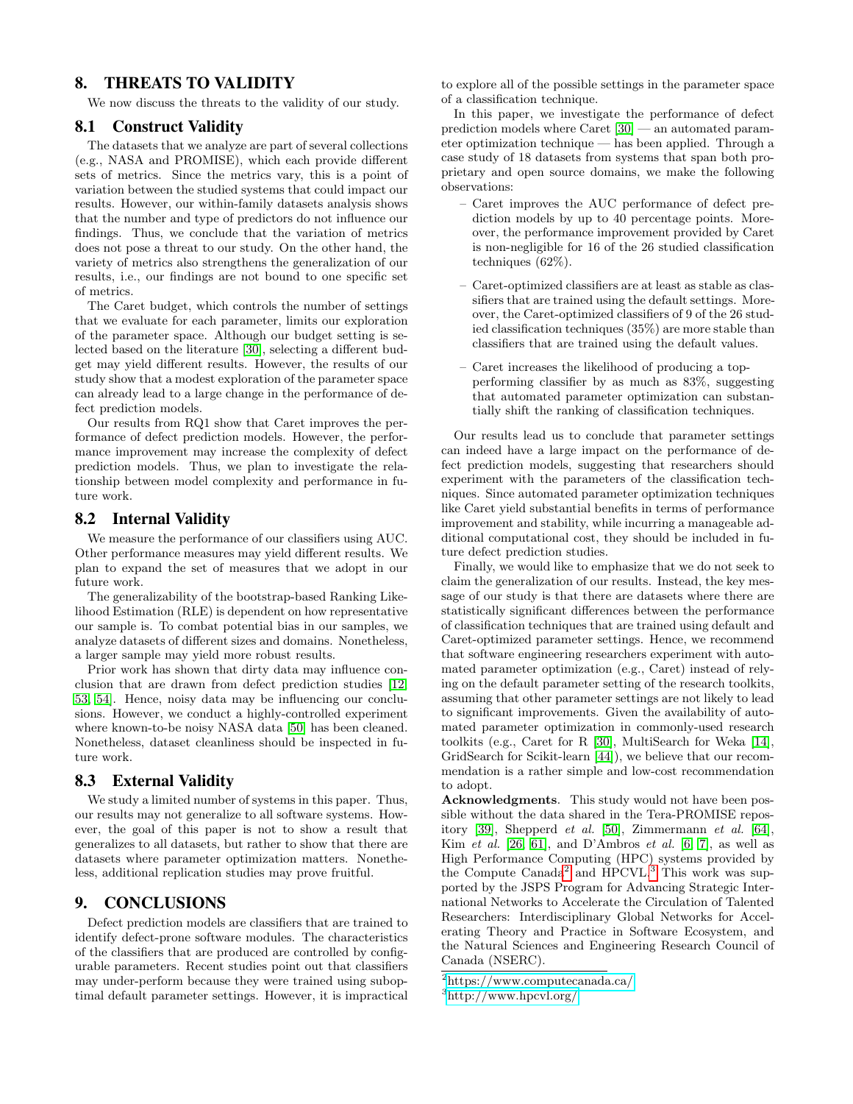# <span id="page-9-0"></span>8. THREATS TO VALIDITY

We now discuss the threats to the validity of our study.

## 8.1 Construct Validity

The datasets that we analyze are part of several collections (e.g., NASA and PROMISE), which each provide different sets of metrics. Since the metrics vary, this is a point of variation between the studied systems that could impact our results. However, our within-family datasets analysis shows that the number and type of predictors do not influence our findings. Thus, we conclude that the variation of metrics does not pose a threat to our study. On the other hand, the variety of metrics also strengthens the generalization of our results, i.e., our findings are not bound to one specific set of metrics.

The Caret budget, which controls the number of settings that we evaluate for each parameter, limits our exploration of the parameter space. Although our budget setting is selected based on the literature [\[30\]](#page-10-6), selecting a different budget may yield different results. However, the results of our study show that a modest exploration of the parameter space can already lead to a large change in the performance of defect prediction models.

Our results from RQ1 show that Caret improves the performance of defect prediction models. However, the performance improvement may increase the complexity of defect prediction models. Thus, we plan to investigate the relationship between model complexity and performance in future work.

### 8.2 Internal Validity

We measure the performance of our classifiers using AUC. Other performance measures may yield different results. We plan to expand the set of measures that we adopt in our future work.

The generalizability of the bootstrap-based Ranking Likelihood Estimation (RLE) is dependent on how representative our sample is. To combat potential bias in our samples, we analyze datasets of different sizes and domains. Nonetheless, a larger sample may yield more robust results.

Prior work has shown that dirty data may influence conclusion that are drawn from defect prediction studies [\[12,](#page-10-17) [53,](#page-11-11) [54\]](#page-11-28). Hence, noisy data may be influencing our conclusions. However, we conduct a highly-controlled experiment where known-to-be noisy NASA data [\[50\]](#page-11-19) has been cleaned. Nonetheless, dataset cleanliness should be inspected in future work.

## 8.3 External Validity

We study a limited number of systems in this paper. Thus, our results may not generalize to all software systems. However, the goal of this paper is not to show a result that generalizes to all datasets, but rather to show that there are datasets where parameter optimization matters. Nonetheless, additional replication studies may prove fruitful.

## <span id="page-9-1"></span>9. CONCLUSIONS

Defect prediction models are classifiers that are trained to identify defect-prone software modules. The characteristics of the classifiers that are produced are controlled by configurable parameters. Recent studies point out that classifiers may under-perform because they were trained using suboptimal default parameter settings. However, it is impractical

to explore all of the possible settings in the parameter space of a classification technique.

In this paper, we investigate the performance of defect prediction models where Caret [\[30\]](#page-10-6) — an automated parameter optimization technique — has been applied. Through a case study of 18 datasets from systems that span both proprietary and open source domains, we make the following observations:

- Caret improves the AUC performance of defect prediction models by up to 40 percentage points. Moreover, the performance improvement provided by Caret is non-negligible for 16 of the 26 studied classification techniques (62%).
- Caret-optimized classifiers are at least as stable as classifiers that are trained using the default settings. Moreover, the Caret-optimized classifiers of 9 of the 26 studied classification techniques (35%) are more stable than classifiers that are trained using the default values.
- Caret increases the likelihood of producing a topperforming classifier by as much as 83%, suggesting that automated parameter optimization can substantially shift the ranking of classification techniques.

Our results lead us to conclude that parameter settings can indeed have a large impact on the performance of defect prediction models, suggesting that researchers should experiment with the parameters of the classification techniques. Since automated parameter optimization techniques like Caret yield substantial benefits in terms of performance improvement and stability, while incurring a manageable additional computational cost, they should be included in future defect prediction studies.

Finally, we would like to emphasize that we do not seek to claim the generalization of our results. Instead, the key message of our study is that there are datasets where there are statistically significant differences between the performance of classification techniques that are trained using default and Caret-optimized parameter settings. Hence, we recommend that software engineering researchers experiment with automated parameter optimization (e.g., Caret) instead of relying on the default parameter setting of the research toolkits, assuming that other parameter settings are not likely to lead to significant improvements. Given the availability of automated parameter optimization in commonly-used research toolkits (e.g., Caret for R [\[30\]](#page-10-6), MultiSearch for Weka [\[14\]](#page-10-9), GridSearch for Scikit-learn [\[44\]](#page-11-6)), we believe that our recommendation is a rather simple and low-cost recommendation to adopt.

Acknowledgments. This study would not have been possible without the data shared in the Tera-PROMISE repository [\[39\]](#page-11-29), Shepperd et al. [\[50\]](#page-11-19), Zimmermann et al. [\[64\]](#page-11-21), Kim et al.  $[26, 61]$  $[26, 61]$ , and D'Ambros et al.  $[6, 7]$  $[6, 7]$ , as well as High Performance Computing (HPC) systems provided by the Compute Canada<sup>[2](#page-9-2)</sup> and HPCVL.<sup>[3](#page-9-3)</sup> This work was supported by the JSPS Program for Advancing Strategic International Networks to Accelerate the Circulation of Talented Researchers: Interdisciplinary Global Networks for Accelerating Theory and Practice in Software Ecosystem, and the Natural Sciences and Engineering Research Council of Canada (NSERC).

<span id="page-9-2"></span> $^{2}$ <https://www.computecanada.ca/>

<span id="page-9-3"></span><sup>3</sup><http://www.hpcvl.org/>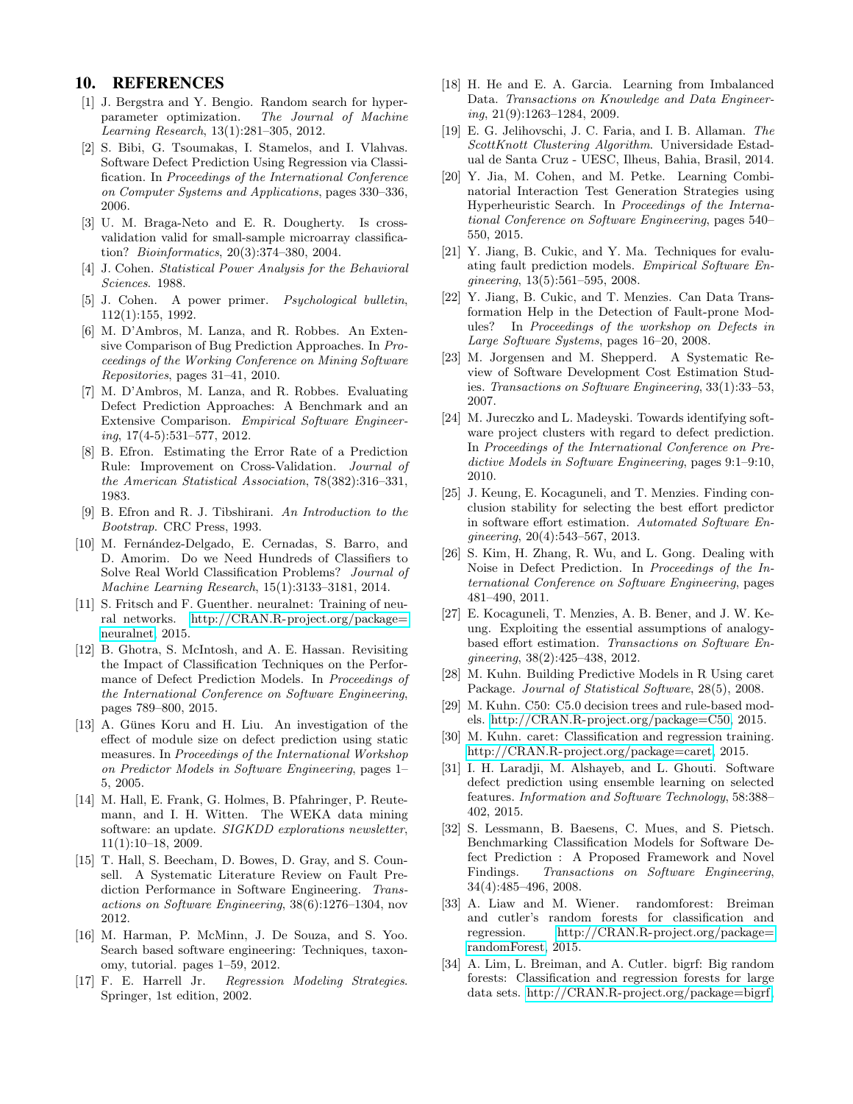## 10. REFERENCES

- <span id="page-10-3"></span>[1] J. Bergstra and Y. Bengio. Random search for hyperparameter optimization. The Journal of Machine Learning Research, 13(1):281–305, 2012.
- <span id="page-10-11"></span>[2] S. Bibi, G. Tsoumakas, I. Stamelos, and I. Vlahvas. Software Defect Prediction Using Regression via Classification. In Proceedings of the International Conference on Computer Systems and Applications, pages 330–336, 2006.
- <span id="page-10-24"></span>[3] U. M. Braga-Neto and E. R. Dougherty. Is crossvalidation valid for small-sample microarray classification? Bioinformatics, 20(3):374–380, 2004.
- <span id="page-10-28"></span>[4] J. Cohen. Statistical Power Analysis for the Behavioral Sciences. 1988.
- <span id="page-10-29"></span>[5] J. Cohen. A power primer. Psychological bulletin, 112(1):155, 1992.
- <span id="page-10-19"></span>[6] M. D'Ambros, M. Lanza, and R. Robbes. An Extensive Comparison of Bug Prediction Approaches. In Proceedings of the Working Conference on Mining Software Repositories, pages 31–41, 2010.
- <span id="page-10-20"></span>[7] M. D'Ambros, M. Lanza, and R. Robbes. Evaluating Defect Prediction Approaches: A Benchmark and an Extensive Comparison. Empirical Software Engineering, 17(4-5):531–577, 2012.
- <span id="page-10-22"></span>[8] B. Efron. Estimating the Error Rate of a Prediction Rule: Improvement on Cross-Validation. Journal of the American Statistical Association, 78(382):316–331, 1983.
- <span id="page-10-23"></span>[9] B. Efron and R. J. Tibshirani. An Introduction to the Bootstrap. CRC Press, 1993.
- <span id="page-10-33"></span>[10] M. Fernández-Delgado, E. Cernadas, S. Barro, and D. Amorim. Do we Need Hundreds of Classifiers to Solve Real World Classification Problems? Journal of Machine Learning Research, 15(1):3133–3181, 2014.
- <span id="page-10-14"></span>[11] S. Fritsch and F. Guenther. neuralnet: Training of neural networks. [http://CRAN.R-project.org/package=](http://CRAN.R-project.org/package=neuralnet) [neuralnet,](http://CRAN.R-project.org/package=neuralnet) 2015.
- <span id="page-10-17"></span>[12] B. Ghotra, S. McIntosh, and A. E. Hassan. Revisiting the Impact of Classification Techniques on the Performance of Defect Prediction Models. In Proceedings of the International Conference on Software Engineering, pages 789–800, 2015.
- <span id="page-10-1"></span>[13] A. Günes Koru and H. Liu. An investigation of the effect of module size on defect prediction using static measures. In Proceedings of the International Workshop on Predictor Models in Software Engineering, pages 1– 5, 2005.
- <span id="page-10-9"></span>[14] M. Hall, E. Frank, G. Holmes, B. Pfahringer, P. Reutemann, and I. H. Witten. The WEKA data mining software: an update. SIGKDD explorations newsletter, 11(1):10–18, 2009.
- <span id="page-10-2"></span>[15] T. Hall, S. Beecham, D. Bowes, D. Gray, and S. Counsell. A Systematic Literature Review on Fault Prediction Performance in Software Engineering. Transactions on Software Engineering, 38(6):1276–1304, nov 2012.
- <span id="page-10-4"></span>[16] M. Harman, P. McMinn, J. De Souza, and S. Yoo. Search based software engineering: Techniques, taxonomy, tutorial. pages 1–59, 2012.
- <span id="page-10-25"></span>[17] F. E. Harrell Jr. Regression Modeling Strategies. Springer, 1st edition, 2002.
- <span id="page-10-27"></span>[18] H. He and E. A. Garcia. Learning from Imbalanced Data. Transactions on Knowledge and Data Engineering, 21(9):1263–1284, 2009.
- <span id="page-10-32"></span>[19] E. G. Jelihovschi, J. C. Faria, and I. B. Allaman. The ScottKnott Clustering Algorithm. Universidade Estadual de Santa Cruz - UESC, Ilheus, Bahia, Brasil, 2014.
- <span id="page-10-15"></span>[20] Y. Jia, M. Cohen, and M. Petke. Learning Combinatorial Interaction Test Generation Strategies using Hyperheuristic Search. In Proceedings of the International Conference on Software Engineering, pages 540– 550, 2015.
- <span id="page-10-10"></span>[21] Y. Jiang, B. Cukic, and Y. Ma. Techniques for evaluating fault prediction models. Empirical Software Engineering, 13(5):561–595, 2008.
- <span id="page-10-0"></span>[22] Y. Jiang, B. Cukic, and T. Menzies. Can Data Transformation Help in the Detection of Fault-prone Modules? In Proceedings of the workshop on Defects in Large Software Systems, pages 16–20, 2008.
- <span id="page-10-16"></span>[23] M. Jorgensen and M. Shepperd. A Systematic Review of Software Development Cost Estimation Studies. Transactions on Software Engineering, 33(1):33–53, 2007.
- <span id="page-10-21"></span>[24] M. Jureczko and L. Madeyski. Towards identifying software project clusters with regard to defect prediction. In Proceedings of the International Conference on Predictive Models in Software Engineering, pages 9:1–9:10, 2010.
- <span id="page-10-31"></span>[25] J. Keung, E. Kocaguneli, and T. Menzies. Finding conclusion stability for selecting the best effort predictor in software effort estimation. Automated Software Engineering, 20(4):543–567, 2013.
- <span id="page-10-18"></span>[26] S. Kim, H. Zhang, R. Wu, and L. Gong. Dealing with Noise in Defect Prediction. In Proceedings of the International Conference on Software Engineering, pages 481–490, 2011.
- <span id="page-10-5"></span>[27] E. Kocaguneli, T. Menzies, A. B. Bener, and J. W. Keung. Exploiting the essential assumptions of analogybased effort estimation. Transactions on Software Engineering, 38(2):425–438, 2012.
- <span id="page-10-26"></span>[28] M. Kuhn. Building Predictive Models in R Using caret Package. Journal of Statistical Software, 28(5), 2008.
- <span id="page-10-30"></span>[29] M. Kuhn. C50: C5.0 decision trees and rule-based models. [http://CRAN.R-project.org/package=C50,](http://CRAN.R-project.org/package=C50) 2015.
- <span id="page-10-6"></span>[30] M. Kuhn. caret: Classification and regression training. [http://CRAN.R-project.org/package=caret,](http://CRAN.R-project.org/package=caret) 2015.
- <span id="page-10-8"></span>[31] I. H. Laradji, M. Alshayeb, and L. Ghouti. Software defect prediction using ensemble learning on selected features. Information and Software Technology, 58:388– 402, 2015.
- <span id="page-10-7"></span>[32] S. Lessmann, B. Baesens, C. Mues, and S. Pietsch. Benchmarking Classification Models for Software Defect Prediction : A Proposed Framework and Novel Findings. Transactions on Software Engineering, 34(4):485–496, 2008.
- <span id="page-10-13"></span>[33] A. Liaw and M. Wiener. randomforest: Breiman and cutler's random forests for classification and regression. [http://CRAN.R-project.org/package=](http://CRAN.R-project.org/package=randomForest) [randomForest,](http://CRAN.R-project.org/package=randomForest) 2015.
- <span id="page-10-12"></span>[34] A. Lim, L. Breiman, and A. Cutler. bigrf: Big random forests: Classification and regression forests for large data sets. [http://CRAN.R-project.org/package=bigrf,](http://CRAN.R-project.org/package=bigrf)